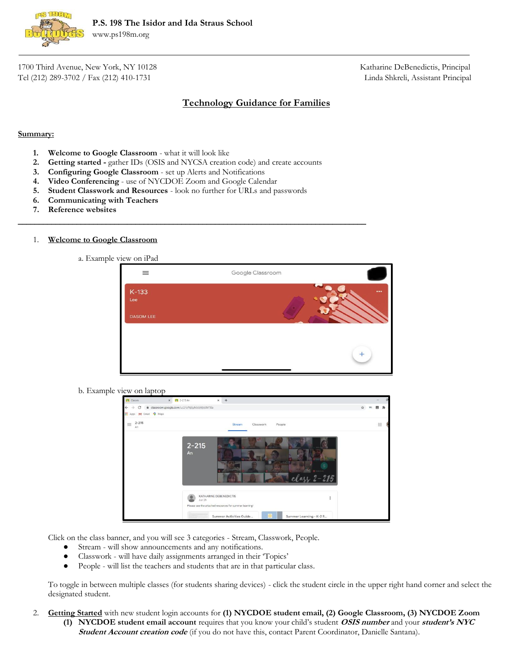

1700 Third Avenue, New York, NY 10128 Katharine DeBenedictis, Principal Tel (212) 289-3702 / Fax (212) 410-1731 Linda Shkreli, Assistant Principal

# **Technology Guidance for Families**

### **Summary:**

- **1. Welcome to Google Classroom** what it will look like
- **2. Getting started -** gather IDs (OSIS and NYCSA creation code) and create accounts

\_\_\_\_\_\_\_\_\_\_\_\_\_\_\_\_\_\_\_\_\_\_\_\_\_\_\_\_\_\_\_\_\_\_\_\_\_\_\_\_\_\_\_\_\_\_\_\_\_\_\_\_\_\_\_\_\_\_\_\_\_\_\_\_\_\_\_\_\_\_\_\_\_\_\_\_\_\_\_\_\_\_\_

- **3. Configuring Google Classroom** set up Alerts and Notifications
- **4. Video Conferencing** use of NYCDOE Zoom and Google Calendar
- **5. Student Classwork and Resources** look no further for URLs and passwords
- **6. Communicating with Teachers**
- **7. Reference websites**

## 1. **Welcome to Google Classroom**

a. Example view on iPad

| $\equiv$       | Google Classroom |                         |
|----------------|------------------|-------------------------|
| $K-133$<br>Lee |                  | $\bullet\bullet\bullet$ |
| DASOM LEE      |                  |                         |
|                |                  |                         |

b. Example view on laptop

| <b>PI</b> Classes              | X 2-215 An                                    | $x +$                                                                                                                                  | $\sigma$        |
|--------------------------------|-----------------------------------------------|----------------------------------------------------------------------------------------------------------------------------------------|-----------------|
| C<br>$\leftarrow$<br>÷         | a classroom.google.com/u/2/c/NjEyMzIzMjkSMTBa |                                                                                                                                        | ☆<br>囲          |
| <b>III</b> Apps M Gmail Q Maps |                                               |                                                                                                                                        |                 |
| $2 - 215$<br>$\equiv$<br>An    |                                               | People<br>Stream<br>Classwork                                                                                                          | :::             |
|                                | $2 - 215$<br>An<br>Jun 29                     | KATHARINE DEBENEDICTIS<br>Please see the attached resources for summer learning!<br>Summer Activities Guide<br>Summer Learning - K-2 R | $32 - 215$<br>÷ |

Click on the class banner, and you will see 3 categories - Stream, Classwork, People.

- Stream will show announcements and any notifications.
- Classwork will have daily assignments arranged in their 'Topics'
- People will list the teachers and students that are in that particular class.

To toggle in between multiple classes (for students sharing devices) - click the student circle in the upper right hand corner and select the designated student.

- 2. **Getting Started** with new student login accounts for **(1) NYCDOE student email, (2) Google Classroom, (3) NYCDOE Zoom**
	- **(1) NYCDOE student email account** requires that you know your child's student **OSIS number** and your **student's NYC Student Account creation code** (if you do not have this, contact Parent Coordinator, Danielle Santana).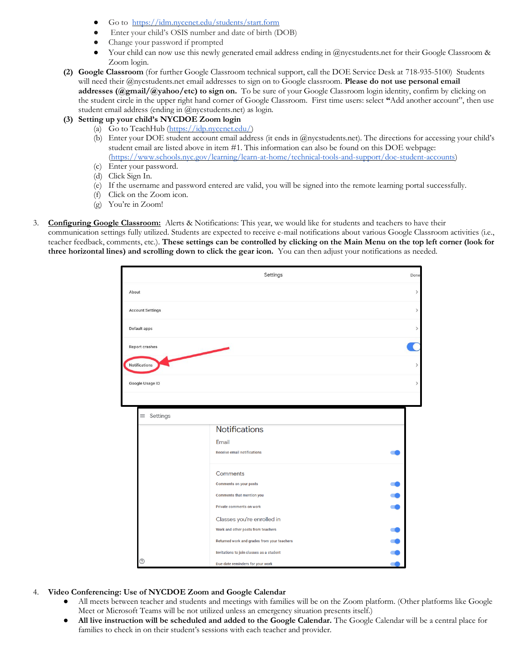- Go to <https://idm.nycenet.edu/students/start.form>
- Enter your child's OSIS number and date of birth (DOB)
- Change your password if prompted
- Your child can now use this newly generated email address ending in @nycstudents.net for their Google Classroom & Zoom login.
- **(2) Google Classroom** (for further Google Classroom technical support, call the DOE Service Desk at 718-935-5100) Students will need their @nycstudents.net email addresses to sign on to Google classroom. **Please do not use personal email addresses (@gmail/@yahoo/etc) to sign on.** To be sure of your Google Classroom login identity, confirm by clicking on the student circle in the upper right hand corner of Google Classroom. First time users: select **"**Add another account", then use student email address (ending in @nycstudents.net) as login.
- **(3) Setting up your child's NYCDOE Zoom login**
	- (a) Go to [TeachHub \(](https://teachhub.schools.nyc/)<https://idp.nycenet.edu/>[\)](https://teachhub.schools.nyc/)
	- (b) Enter your DOE student account email address (it ends in @nycstudents.net). The directions for accessing your child's student email are listed above in item #1. This information can also be found on this DOE webpage: [\(https://www.schools.nyc.gov/learning/learn-at-home/technical-tools-and-support/doe-student-accounts\)](https://www.schools.nyc.gov/learning/learn-at-home/technical-tools-and-support/doe-student-accounts)
	- (c) Enter your password.
	- (d) Click Sign In.
	- (e) If the username and password entered are valid, you will be signed into the remote learning portal successfully.
	- (f) Click on the Zoom icon.
	- (g) You're in Zoom!
- **Configuring Google Classroom:** Alerts & Notifications: This year, we would like for students and teachers to have their communication settings fully utilized. Students are expected to receive e-mail notifications about various Google Classroom activities (i.e., teacher feedback, comments, etc.). **These settings can be controlled by clicking on the Main Menu on the top left corner (look for three horizontal lines) and scrolling down to click the gear icon.** You can then adjust your notifications as needed.



- 4. **Video Conferencing: Use of NYCDOE Zoom and Google Calendar**
	- All meets between teacher and students and meetings with families will be on the Zoom platform. (Other platforms like Google Meet or Microsoft Teams will be not utilized unless an emergency situation presents itself.)
	- **All live instruction will be scheduled and added to the Google Calendar.** The Google Calendar will be a central place for families to check in on their student's sessions with each teacher and provider.